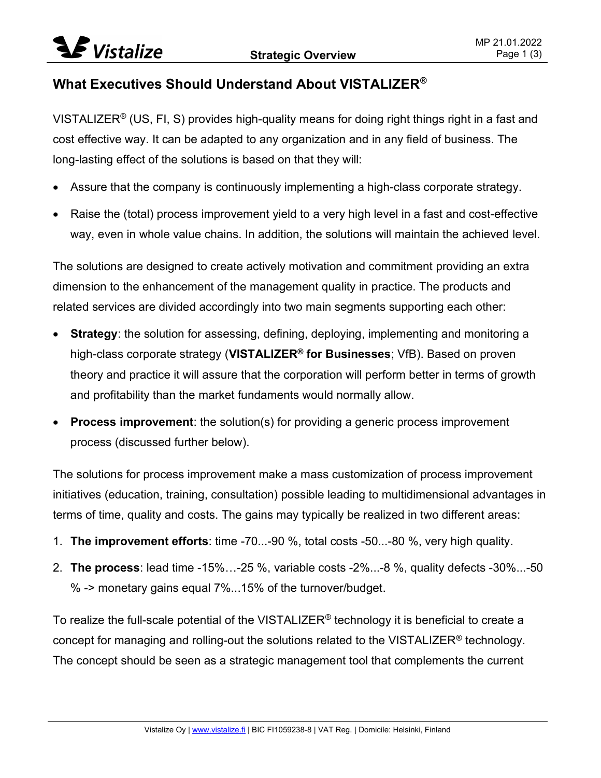## What Executives Should Understand About VISTALIZER®

VISTALIZER<sup>®</sup> (US, FI, S) provides high-quality means for doing right things right in a fast and cost effective way. It can be adapted to any organization and in any field of business. The long-lasting effect of the solutions is based on that they will:

- Assure that the company is continuously implementing a high-class corporate strategy.
- Raise the (total) process improvement yield to a very high level in a fast and cost-effective way, even in whole value chains. In addition, the solutions will maintain the achieved level.

The solutions are designed to create actively motivation and commitment providing an extra dimension to the enhancement of the management quality in practice. The products and related services are divided accordingly into two main segments supporting each other:

- **Strategy:** the solution for assessing, defining, deploying, implementing and monitoring a high-class corporate strategy (VISTALIZER<sup>®</sup> for Businesses; VfB). Based on proven theory and practice it will assure that the corporation will perform better in terms of growth and profitability than the market fundaments would normally allow.
- **Process improvement:** the solution(s) for providing a generic process improvement process (discussed further below).

The solutions for process improvement make a mass customization of process improvement initiatives (education, training, consultation) possible leading to multidimensional advantages in terms of time, quality and costs. The gains may typically be realized in two different areas:

- 1. The improvement efforts: time -70...-90 %, total costs -50...-80 %, very high quality.
- 2. The process: lead time -15%…-25 %, variable costs -2%...-8 %, quality defects -30%...-50 % -> monetary gains equal 7%...15% of the turnover/budget.

To realize the full-scale potential of the VISTALIZER<sup>®</sup> technology it is beneficial to create a concept for managing and rolling-out the solutions related to the VISTALIZER® technology. The concept should be seen as a strategic management tool that complements the current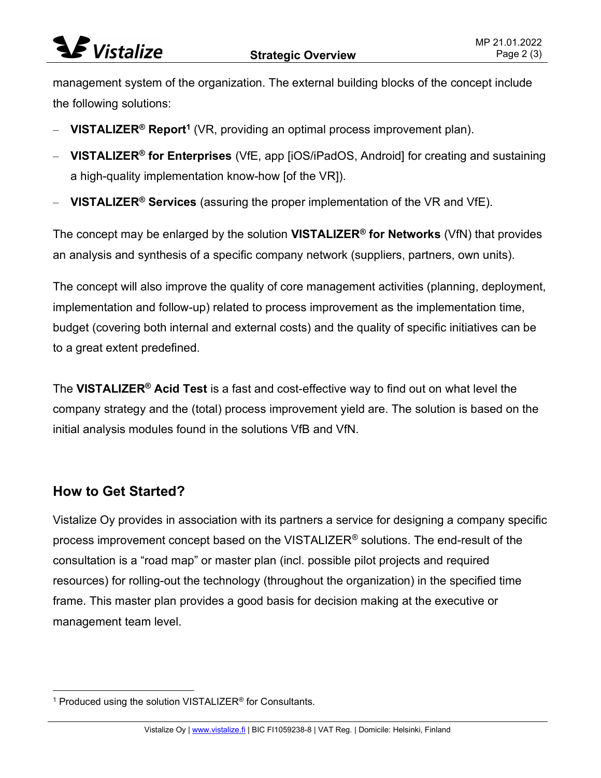## $\blacktriangleright$  Vistalize

management system of the organization. The external building blocks of the concept include the following solutions:

- VISTALIZER® Report<sup>1</sup> (VR, providing an optimal process improvement plan).
- VISTALIZER® for Enterprises (VfE, app [iOS/iPadOS, Android] for creating and sustaining a high-quality implementation know-how [of the VR]).
- VISTALIZER® Services (assuring the proper implementation of the VR and VfE).

The concept may be enlarged by the solution VISTALIZER<sup>®</sup> for Networks (VfN) that provides an analysis and synthesis of a specific company network (suppliers, partners, own units).

The concept will also improve the quality of core management activities (planning, deployment, implementation and follow-up) related to process improvement as the implementation time, budget (covering both internal and external costs) and the quality of specific initiatives can be to a great extent predefined.

The VISTALIZER<sup>®</sup> Acid Test is a fast and cost-effective way to find out on what level the company strategy and the (total) process improvement yield are. The solution is based on the initial analysis modules found in the solutions VfB and VfN.

## How to Get Started?

Vistalize Oy provides in association with its partners a service for designing a company specific process improvement concept based on the VISTALIZER® solutions. The end-result of the consultation is a "road map" or master plan (incl. possible pilot projects and required resources) for rolling-out the technology (throughout the organization) in the specified time frame. This master plan provides a good basis for decision making at the executive or management team level.

<sup>&</sup>lt;sup>1</sup> Produced using the solution VISTALIZER<sup>®</sup> for Consultants.